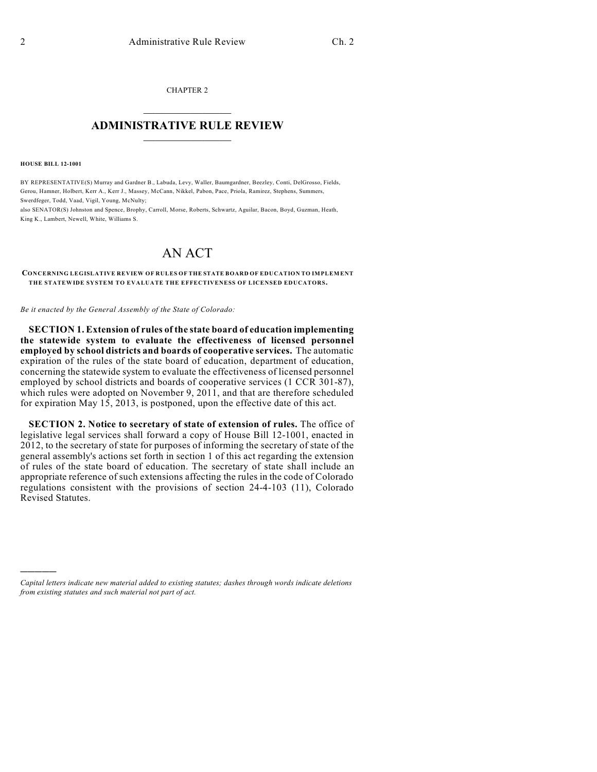CHAPTER 2  $\mathcal{L}_\text{max}$  . The set of the set of the set of the set of the set of the set of the set of the set of the set of the set of the set of the set of the set of the set of the set of the set of the set of the set of the set

## **ADMINISTRATIVE RULE REVIEW**  $\_$

**HOUSE BILL 12-1001**

)))))

BY REPRESENTATIVE(S) Murray and Gardner B., Labuda, Levy, Waller, Baumgardner, Beezley, Conti, DelGrosso, Fields, Gerou, Hamner, Holbert, Kerr A., Kerr J., Massey, McCann, Nikkel, Pabon, Pace, Priola, Ramirez, Stephens, Summers, Swerdfeger, Todd, Vaad, Vigil, Young, McNulty;

also SENATOR(S) Johnston and Spence, Brophy, Carroll, Morse, Roberts, Schwartz, Aguilar, Bacon, Boyd, Guzman, Heath, King K., Lambert, Newell, White, Williams S.

## AN ACT

**CONCERNING LEGISLATIVE REVIEW OF RULES OF THE STATE BOARD OF EDUCATION TO IMPLEMENT THE STATEWIDE SYSTEM TO EVALUATE THE EFFECTIVENESS OF LICENSED EDUCATORS.**

*Be it enacted by the General Assembly of the State of Colorado:*

**SECTION 1. Extension of rules of the state board of education implementing the statewide system to evaluate the effectiveness of licensed personnel employed by school districts and boards of cooperative services.** The automatic expiration of the rules of the state board of education, department of education, concerning the statewide system to evaluate the effectiveness of licensed personnel employed by school districts and boards of cooperative services (1 CCR 301-87), which rules were adopted on November 9, 2011, and that are therefore scheduled for expiration May 15, 2013, is postponed, upon the effective date of this act.

**SECTION 2. Notice to secretary of state of extension of rules.** The office of legislative legal services shall forward a copy of House Bill 12-1001, enacted in 2012, to the secretary of state for purposes of informing the secretary of state of the general assembly's actions set forth in section 1 of this act regarding the extension of rules of the state board of education. The secretary of state shall include an appropriate reference of such extensions affecting the rules in the code of Colorado regulations consistent with the provisions of section 24-4-103 (11), Colorado Revised Statutes.

*Capital letters indicate new material added to existing statutes; dashes through words indicate deletions from existing statutes and such material not part of act.*